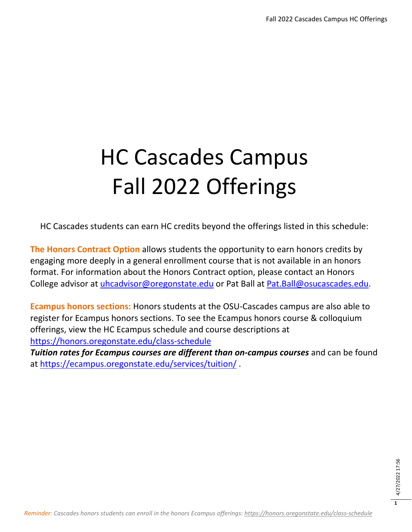# HC Cascades Campus Fall 2022 Offerings

HC Cascades students can earn HC credits beyond the offerings listed in this schedule:

**The Honors Contract Option** allows students the opportunity to earn honors credits by engaging more deeply in a general enrollment course that is not available in an honors format. For information about the Honors Contract option, please contact an Honors College advisor at [uhcadvisor@oregonstate.edu](mailto:uhcadvisor@oregonstate.edu) or Pat Ball at [Pat.Ball@osucascades.edu.](mailto:Pat.Ball@osucascades.edu)

**Ecampus honors sections:** Honors students at the OSU-Cascades campus are also able to register for Ecampus honors sections. To see the Ecampus honors course & colloquium offerings, view the HC Ecampus schedule and course descriptions at <https://honors.oregonstate.edu/class-schedule>

*Tuition rates for Ecampus courses are different than on-campus courses* and can be found at<https://ecampus.oregonstate.edu/services/tuition/> .

**1**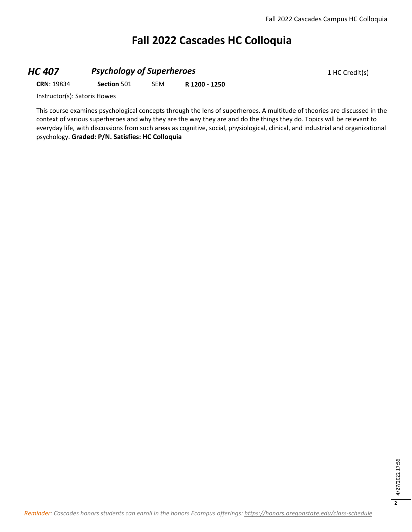## **Fall 2022 Cascades HC Colloquia**

#### **HC 407 Psychology of Superheroes** 1 HC Credit(s)

**CRN**: 19834 **Section** 501 SEM **R 1200 - 1250**

Instructor(s): Satoris Howes

This course examines psychological concepts through the lens of superheroes. A multitude of theories are discussed in the context of various superheroes and why they are the way they are and do the things they do. Topics will be relevant to everyday life, with discussions from such areas as cognitive, social, physiological, clinical, and industrial and organizational psychology. **Graded: P/N. Satisfies: HC Colloquia**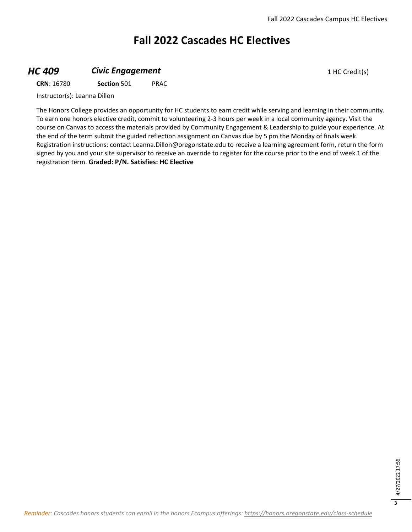## **Fall 2022 Cascades HC Electives**

#### **HC 409 Civic Engagement Civic Engagement** 1 HC Credit(s)

**CRN**: 16780 **Section** 501 PRAC

Instructor(s): Leanna Dillon

The Honors College provides an opportunity for HC students to earn credit while serving and learning in their community. To earn one honors elective credit, commit to volunteering 2-3 hours per week in a local community agency. Visit the course on Canvas to access the materials provided by Community Engagement & Leadership to guide your experience. At the end of the term submit the guided reflection assignment on Canvas due by 5 pm the Monday of finals week. Registration instructions: contact Leanna.Dillon@oregonstate.edu to receive a learning agreement form, return the form signed by you and your site supervisor to receive an override to register for the course prior to the end of week 1 of the registration term. **Graded: P/N. Satisfies: HC Elective**